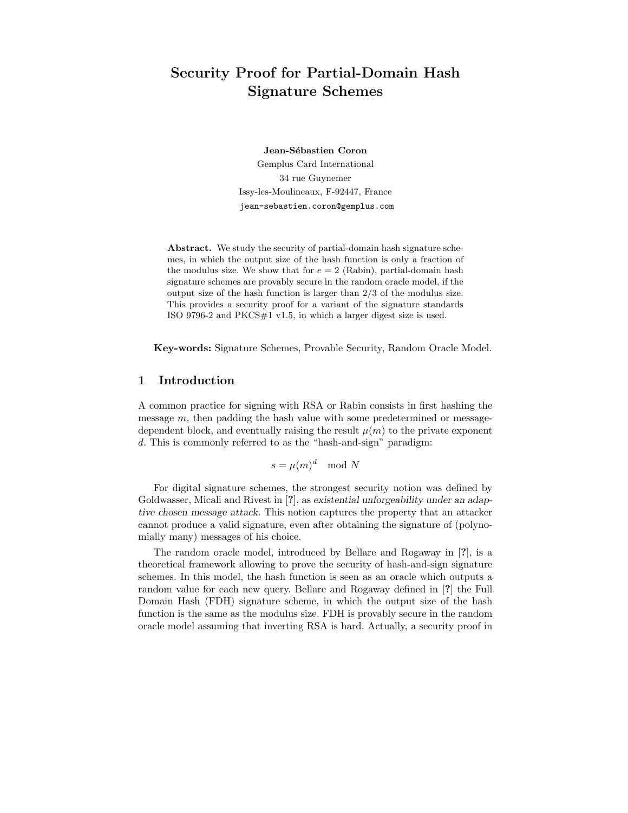# Security Proof for Partial-Domain Hash Signature Schemes

Jean-Sébastien Coron Gemplus Card International 34 rue Guynemer Issy-les-Moulineaux, F-92447, France jean-sebastien.coron@gemplus.com

Abstract. We study the security of partial-domain hash signature schemes, in which the output size of the hash function is only a fraction of the modulus size. We show that for  $e = 2$  (Rabin), partial-domain hash signature schemes are provably secure in the random oracle model, if the output size of the hash function is larger than 2/3 of the modulus size. This provides a security proof for a variant of the signature standards ISO 9796-2 and PKCS#1 v1.5, in which a larger digest size is used.

Key-words: Signature Schemes, Provable Security, Random Oracle Model.

# 1 Introduction

A common practice for signing with RSA or Rabin consists in first hashing the message  $m$ , then padding the hash value with some predetermined or messagedependent block, and eventually raising the result  $\mu(m)$  to the private exponent d. This is commonly referred to as the "hash-and-sign" paradigm:

 $s = \mu(m)^d \mod N$ 

For digital signature schemes, the strongest security notion was defined by Goldwasser, Micali and Rivest in [?], as existential unforgeability under an adaptive chosen message attack. This notion captures the property that an attacker cannot produce a valid signature, even after obtaining the signature of (polynomially many) messages of his choice.

The random oracle model, introduced by Bellare and Rogaway in [?], is a theoretical framework allowing to prove the security of hash-and-sign signature schemes. In this model, the hash function is seen as an oracle which outputs a random value for each new query. Bellare and Rogaway defined in [?] the Full Domain Hash (FDH) signature scheme, in which the output size of the hash function is the same as the modulus size. FDH is provably secure in the random oracle model assuming that inverting RSA is hard. Actually, a security proof in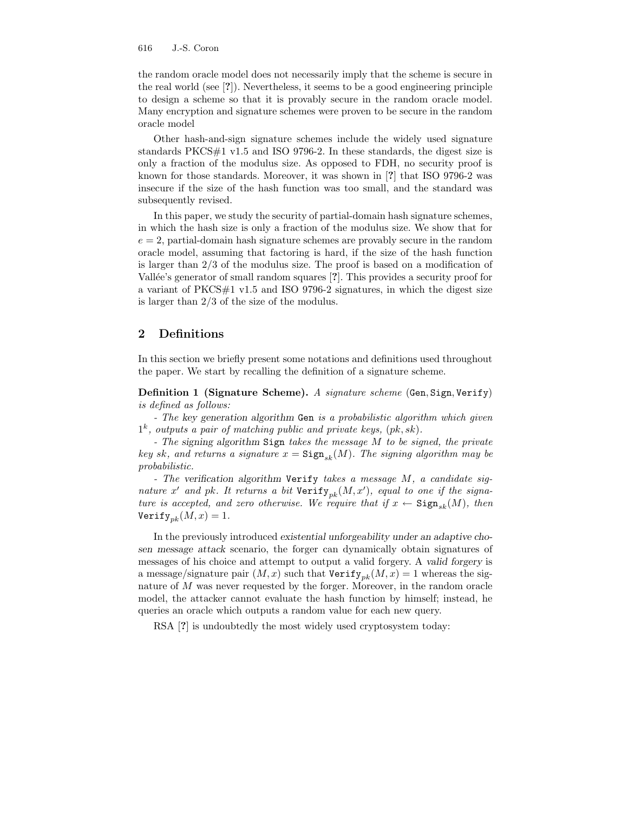the random oracle model does not necessarily imply that the scheme is secure in the real world (see [?]). Nevertheless, it seems to be a good engineering principle to design a scheme so that it is provably secure in the random oracle model. Many encryption and signature schemes were proven to be secure in the random oracle model

Other hash-and-sign signature schemes include the widely used signature standards PKCS#1 v1.5 and ISO 9796-2. In these standards, the digest size is only a fraction of the modulus size. As opposed to FDH, no security proof is known for those standards. Moreover, it was shown in [?] that ISO 9796-2 was insecure if the size of the hash function was too small, and the standard was subsequently revised.

In this paper, we study the security of partial-domain hash signature schemes, in which the hash size is only a fraction of the modulus size. We show that for  $e = 2$ , partial-domain hash signature schemes are provably secure in the random oracle model, assuming that factoring is hard, if the size of the hash function is larger than 2/3 of the modulus size. The proof is based on a modification of Vallée's generator of small random squares [?]. This provides a security proof for a variant of PKCS#1 v1.5 and ISO 9796-2 signatures, in which the digest size is larger than 2/3 of the size of the modulus.

### 2 Definitions

In this section we briefly present some notations and definitions used throughout the paper. We start by recalling the definition of a signature scheme.

Definition 1 (Signature Scheme). A signature scheme (Gen, Sign, Verify) is defined as follows:

- The key generation algorithm Gen is a probabilistic algorithm which given  $1^k$ , outputs a pair of matching public and private keys,  $(pk, sk)$ .

- The signing algorithm Sign takes the message M to be signed, the private key sk, and returns a signature  $x = \text{Sign}_{sk}(M)$ . The signing algorithm may be probabilistic.

- The verification algorithm Verify takes a message M, a candidate signature x' and pk. It returns a bit  $Verify_{pk}(M, x')$ , equal to one if the signature is accepted, and zero otherwise. We require that if  $x \leftarrow$  Sign<sub>sk</sub> $(M)$ , then Verify<sub>nk</sub> $(M, x) = 1$ .

In the previously introduced existential unforgeability under an adaptive chosen message attack scenario, the forger can dynamically obtain signatures of messages of his choice and attempt to output a valid forgery. A valid forgery is a message/signature pair  $(M, x)$  such that  $Verify_{pk}(M, x) = 1$  whereas the signature of  $M$  was never requested by the forger. Moreover, in the random oracle model, the attacker cannot evaluate the hash function by himself; instead, he queries an oracle which outputs a random value for each new query.

RSA  $[?]$  is undoubtedly the most widely used cryptosystem today: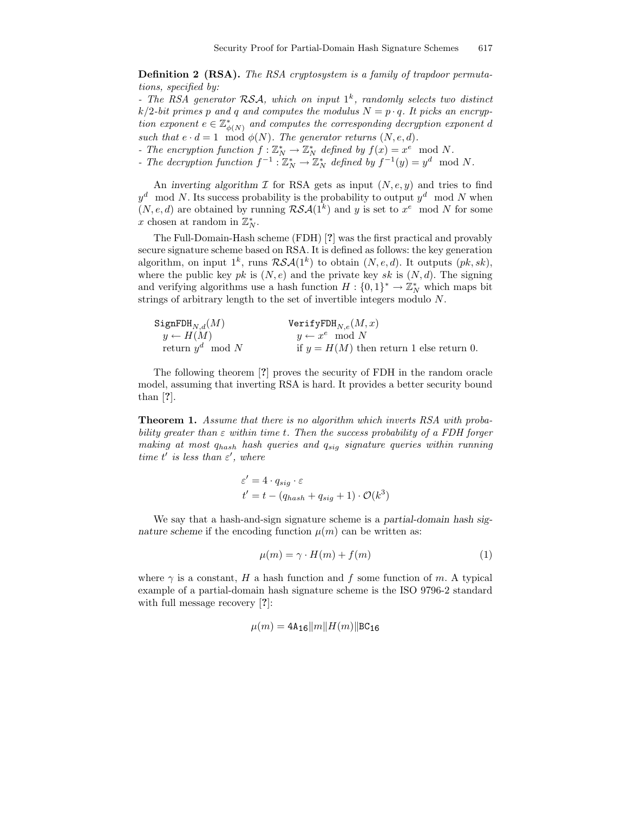Definition 2 (RSA). The RSA cryptosystem is a family of trapdoor permutations, specified by:

- The RSA generator  $\mathcal{RSA}$ , which on input  $1^k$ , randomly selects two distinct  $k/2$ -bit primes p and q and computes the modulus  $N = p \cdot q$ . It picks an encryption exponent  $e \in \mathbb{Z}_{\phi(N)}^*$  and computes the corresponding decryption exponent d such that  $e \cdot d = 1 \mod \phi(N)$ . The generator returns  $(N, e, d)$ .

- The encryption function  $f: \mathbb{Z}_N^* \to \mathbb{Z}_N^*$  defined by  $f(x) = x^e \mod N$ .

- The decryption function  $f^{-1}: \mathbb{Z}_N^* \to \mathbb{Z}_N^*$  defined by  $f^{-1}(y) = y^d \mod N$ .

An inverting algorithm  $\mathcal I$  for RSA gets as input  $(N, e, y)$  and tries to find  $y^d \mod N$ . Its success probability is the probability to output  $y^d \mod N$  when  $(N, e, d)$  are obtained by running  $\mathcal{RSA}(1^k)$  and y is set to  $x^e \mod N$  for some x chosen at random in  $\mathbb{Z}_N^*$ .

The Full-Domain-Hash scheme (FDH) [?] was the first practical and provably secure signature scheme based on RSA. It is defined as follows: the key generation algorithm, on input  $1^k$ , runs  $\mathcal{RSA}(1^k)$  to obtain  $(N, e, d)$ . It outputs  $(pk, sk)$ , where the public key pk is  $(N, e)$  and the private key sk is  $(N, d)$ . The signing and verifying algorithms use a hash function  $H: \{0,1\}^* \to \mathbb{Z}_N^*$  which maps bit strings of arbitrary length to the set of invertible integers modulo N.

| $\texttt{SignFDH}_{N,d}(M)$ | $Verify{\rm FDH}_{N,e}(M,x)$               |
|-----------------------------|--------------------------------------------|
| $y \leftarrow H(M)$         | $y \leftarrow x^e \mod N$                  |
| return $y^d \mod N$         | if $y = H(M)$ then return 1 else return 0. |

The following theorem [?] proves the security of FDH in the random oracle model, assuming that inverting RSA is hard. It provides a better security bound than [?].

Theorem 1. Assume that there is no algorithm which inverts RSA with probability greater than  $\varepsilon$  within time t. Then the success probability of a FDH forger making at most  $q_{hash}$  hash queries and  $q_{sig}$  signature queries within running time t' is less than  $\varepsilon'$ , where

$$
\varepsilon' = 4 \cdot q_{sig} \cdot \varepsilon
$$
  

$$
t' = t - (q_{hash} + q_{sig} + 1) \cdot \mathcal{O}(k^3)
$$

We say that a hash-and-sign signature scheme is a partial-domain hash signature scheme if the encoding function  $\mu(m)$  can be written as:

$$
\mu(m) = \gamma \cdot H(m) + f(m) \tag{1}
$$

where  $\gamma$  is a constant, H a hash function and f some function of m. A typical example of a partial-domain hash signature scheme is the ISO 9796-2 standard with full message recovery [?]:

$$
\mu(m) = 4\text{A}_{16}||m||H(m)||\text{BC}_{16}
$$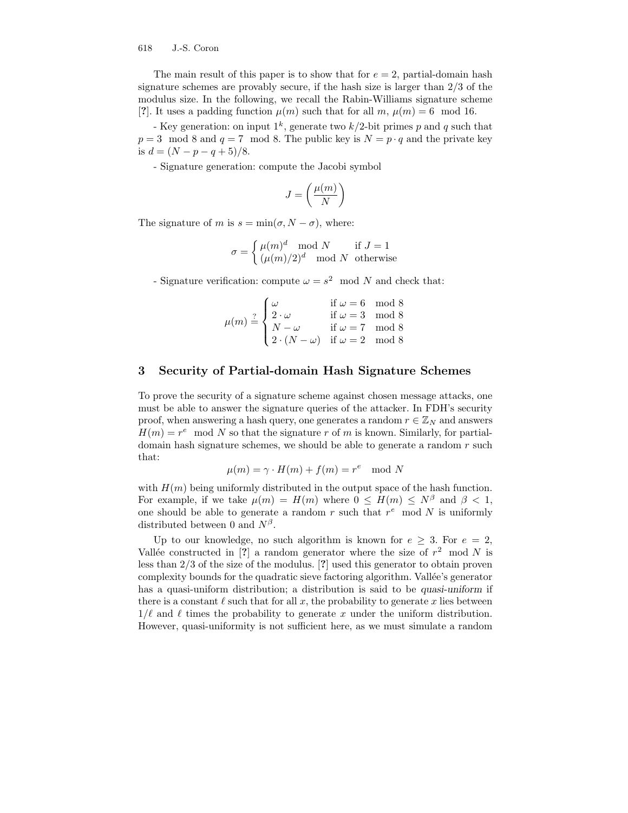The main result of this paper is to show that for  $e = 2$ , partial-domain hash signature schemes are provably secure, if the hash size is larger than 2/3 of the modulus size. In the following, we recall the Rabin-Williams signature scheme [?]. It uses a padding function  $\mu(m)$  such that for all  $m, \mu(m) = 6 \mod 16$ .

- Key generation: on input  $1^k$ , generate two  $k/2$ -bit primes p and q such that  $p = 3 \mod 8$  and  $q = 7 \mod 8$ . The public key is  $N = p \cdot q$  and the private key is  $d = (N - p - q + 5)/8$ .

- Signature generation: compute the Jacobi symbol

$$
J=\left(\frac{\mu(m)}{N}\right)
$$

The signature of m is  $s = \min(\sigma, N - \sigma)$ , where:

$$
\sigma = \begin{cases} \mu(m)^d \mod N & \text{if } J = 1 \\ (\mu(m)/2)^d \mod N & \text{otherwise} \end{cases}
$$

- Signature verification: compute  $\omega = s^2 \mod N$  and check that:

$$
\mu(m) \stackrel{?}{=} \begin{cases}\n\omega & \text{if } \omega = 6 \mod 8 \\
2 \cdot \omega & \text{if } \omega = 3 \mod 8 \\
N - \omega & \text{if } \omega = 7 \mod 8 \\
2 \cdot (N - \omega) & \text{if } \omega = 2 \mod 8\n\end{cases}
$$

# 3 Security of Partial-domain Hash Signature Schemes

To prove the security of a signature scheme against chosen message attacks, one must be able to answer the signature queries of the attacker. In FDH's security proof, when answering a hash query, one generates a random  $r \in \mathbb{Z}_N$  and answers  $H(m) = r^e \mod N$  so that the signature r of m is known. Similarly, for partialdomain hash signature schemes, we should be able to generate a random  $r$  such that:

$$
\mu(m) = \gamma \cdot H(m) + f(m) = r^e \mod N
$$

with  $H(m)$  being uniformly distributed in the output space of the hash function. For example, if we take  $\mu(m) = H(m)$  where  $0 \leq H(m) \leq N^{\beta}$  and  $\beta < 1$ , one should be able to generate a random  $r$  such that  $r^e$  mod  $N$  is uniformly distributed between 0 and  $N^{\beta}$ .

Up to our knowledge, no such algorithm is known for  $e \geq 3$ . For  $e = 2$ , Vallée constructed in [?] a random generator where the size of  $r^2 \mod N$  is less than 2/3 of the size of the modulus. [?] used this generator to obtain proven complexity bounds for the quadratic sieve factoring algorithm. Vallée's generator has a quasi-uniform distribution; a distribution is said to be *quasi-uniform* if there is a constant  $\ell$  such that for all x, the probability to generate x lies between  $1/\ell$  and  $\ell$  times the probability to generate x under the uniform distribution. However, quasi-uniformity is not sufficient here, as we must simulate a random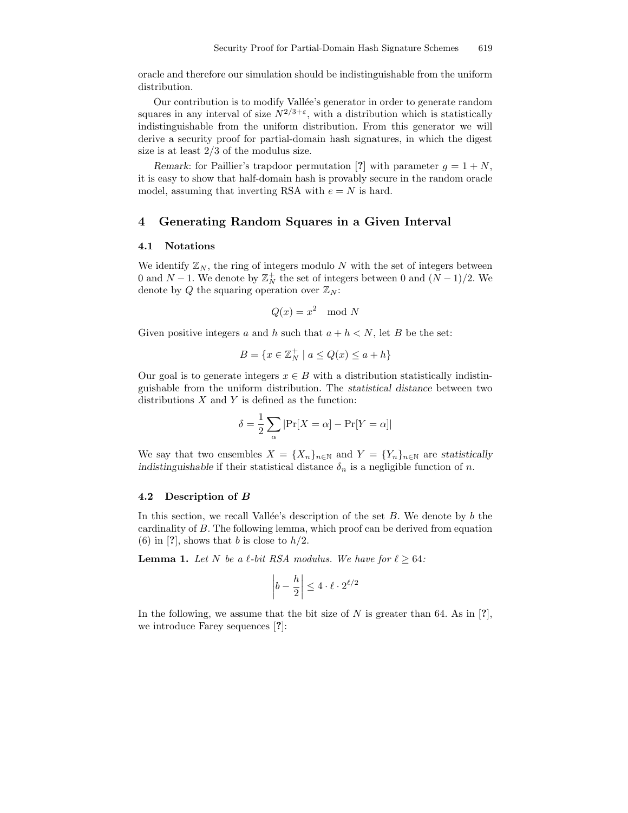oracle and therefore our simulation should be indistinguishable from the uniform distribution.

Our contribution is to modify Vallée's generator in order to generate random squares in any interval of size  $N^{2/3+\epsilon}$ , with a distribution which is statistically indistinguishable from the uniform distribution. From this generator we will derive a security proof for partial-domain hash signatures, in which the digest size is at least 2/3 of the modulus size.

Remark: for Paillier's trapdoor permutation [?] with parameter  $g = 1 + N$ , it is easy to show that half-domain hash is provably secure in the random oracle model, assuming that inverting RSA with  $e = N$  is hard.

### 4 Generating Random Squares in a Given Interval

#### 4.1 Notations

We identify  $\mathbb{Z}_N$ , the ring of integers modulo N with the set of integers between 0 and  $N-1$ . We denote by  $\mathbb{Z}_N^+$  the set of integers between 0 and  $(N-1)/2$ . We denote by Q the squaring operation over  $\mathbb{Z}_N$ :

$$
Q(x) = x^2 \mod N
$$

Given positive integers a and h such that  $a + h < N$ , let B be the set:

$$
B = \{ x \in \mathbb{Z}_N^+ \mid a \le Q(x) \le a + h \}
$$

Our goal is to generate integers  $x \in B$  with a distribution statistically indistinguishable from the uniform distribution. The statistical distance between two distributions  $X$  and  $Y$  is defined as the function:

$$
\delta = \frac{1}{2} \sum_{\alpha} |\Pr[X = \alpha] - \Pr[Y = \alpha]|
$$

We say that two ensembles  $X = \{X_n\}_{n\in\mathbb{N}}$  and  $Y = \{Y_n\}_{n\in\mathbb{N}}$  are statistically indistinguishable if their statistical distance  $\delta_n$  is a negligible function of n.

#### 4.2 Description of B

In this section, we recall Vallée's description of the set  $B$ . We denote by b the cardinality of B. The following lemma, which proof can be derived from equation (6) in [?], shows that b is close to  $h/2$ .

**Lemma 1.** Let N be a  $\ell$ -bit RSA modulus. We have for  $\ell \geq 64$ :

$$
\left|b - \frac{h}{2}\right| \le 4 \cdot \ell \cdot 2^{\ell/2}
$$

In the following, we assume that the bit size of N is greater than 64. As in [?], we introduce Farey sequences [?]: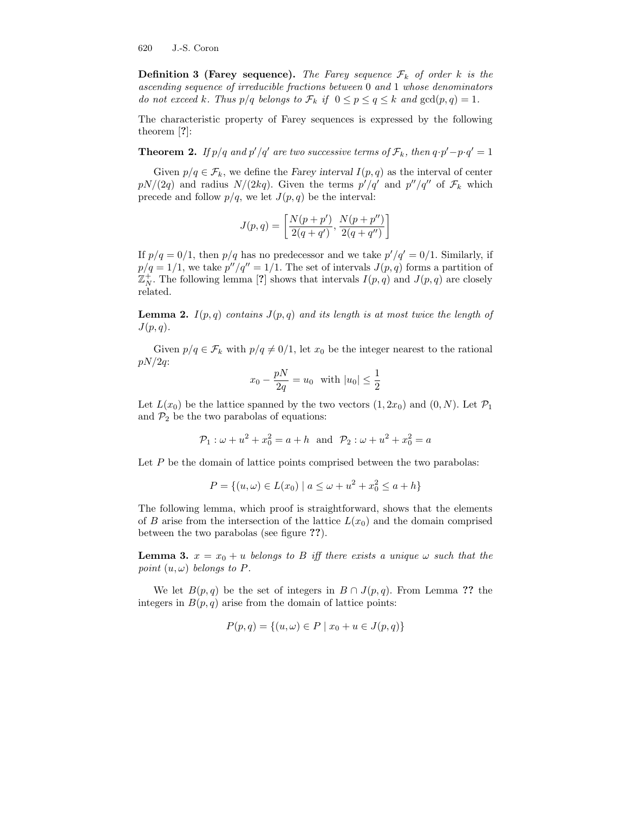**Definition 3 (Farey sequence).** The Farey sequence  $\mathcal{F}_k$  of order k is the ascending sequence of irreducible fractions between 0 and 1 whose denominators do not exceed k. Thus  $p/q$  belongs to  $\mathcal{F}_k$  if  $0 \leq p \leq q \leq k$  and  $gcd(p, q) = 1$ .

The characteristic property of Farey sequences is expressed by the following theorem [?]:

**Theorem 2.** If  $p/q$  and  $p'/q'$  are two successive terms of  $\mathcal{F}_k$ , then  $q \cdot p' - p \cdot q' = 1$ 

Given  $p/q \in \mathcal{F}_k$ , we define the Farey interval  $I(p,q)$  as the interval of center  $pN/(2q)$  and radius  $N/(2kq)$ . Given the terms  $p'/q'$  and  $p''/q''$  of  $\mathcal{F}_k$  which precede and follow  $p/q$ , we let  $J(p, q)$  be the interval:

$$
J(p,q) = \left[\frac{N(p+p')}{2(q+q')}, \frac{N(p+p'')}{2(q+q'')}\right]
$$

If  $p/q = 0/1$ , then  $p/q$  has no predecessor and we take  $p'/q' = 0/1$ . Similarly, if  $p/q = 1/1$ , we take  $p''/q'' = 1/1$ . The set of intervals  $J(p,q)$  forms a partition of  $\mathbb{Z}_N^+$ . The following lemma [?] shows that intervals  $I(p,q)$  and  $J(p,q)$  are closely related.

**Lemma 2.**  $I(p,q)$  contains  $J(p,q)$  and its length is at most twice the length of  $J(p,q).$ 

Given  $p/q \in \mathcal{F}_k$  with  $p/q \neq 0/1$ , let  $x_0$  be the integer nearest to the rational  $pN/2q$ :

$$
x_0 - \frac{pN}{2q} = u_0
$$
 with  $|u_0| \le \frac{1}{2}$ 

Let  $L(x_0)$  be the lattice spanned by the two vectors  $(1, 2x_0)$  and  $(0, N)$ . Let  $\mathcal{P}_1$ and  $\mathcal{P}_2$  be the two parabolas of equations:

$$
P_1
$$
:  $\omega + u^2 + x_0^2 = a + h$  and  $P_2$ :  $\omega + u^2 + x_0^2 = a$ 

Let  $P$  be the domain of lattice points comprised between the two parabolas:

$$
P = \{(u, \omega) \in L(x_0) \mid a \le \omega + u^2 + x_0^2 \le a + h\}
$$

The following lemma, which proof is straightforward, shows that the elements of B arise from the intersection of the lattice  $L(x_0)$  and the domain comprised between the two parabolas (see figure ??).

**Lemma 3.**  $x = x_0 + u$  belongs to B iff there exists a unique  $\omega$  such that the point  $(u, \omega)$  belongs to P.

We let  $B(p,q)$  be the set of integers in  $B \cap J(p,q)$ . From Lemma ?? the integers in  $B(p, q)$  arise from the domain of lattice points:

$$
P(p,q) = \{(u,\omega) \in P \mid x_0 + u \in J(p,q)\}
$$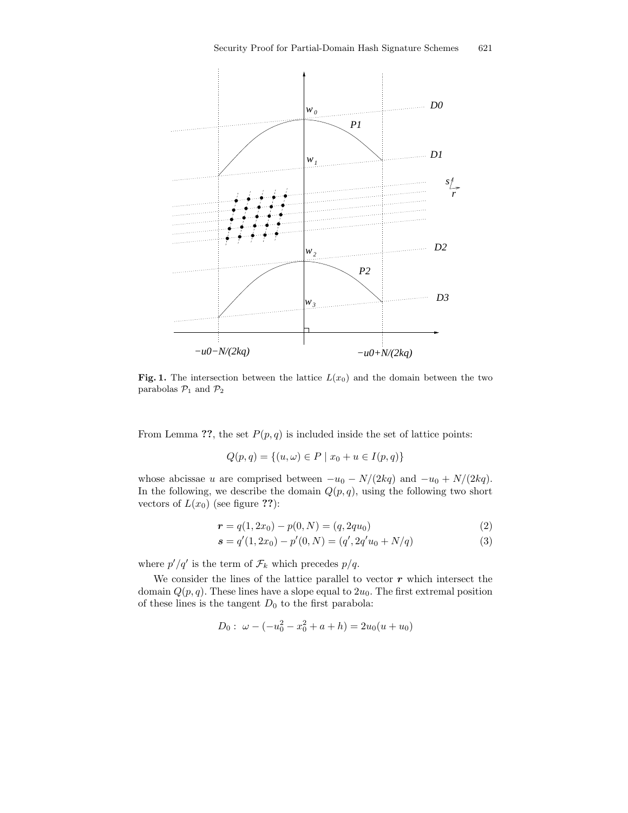

Fig. 1. The intersection between the lattice  $L(x_0)$  and the domain between the two parabolas $\mathcal{P}_1$  and  $\mathcal{P}_2$ 

From Lemma ??, the set  $P(p, q)$  is included inside the set of lattice points:

$$
Q(p,q) = \{(u,\omega) \in P \mid x_0 + u \in I(p,q)\}
$$

whose abcissae u are comprised between  $-u_0 - N/(2kq)$  and  $-u_0 + N/(2kq)$ . In the following, we describe the domain  $Q(p, q)$ , using the following two short vectors of  $L(x_0)$  (see figure ??):

$$
r = q(1, 2x_0) - p(0, N) = (q, 2qu_0)
$$
\n(2)

$$
s = q'(1, 2x_0) - p'(0, N) = (q', 2q'u_0 + N/q)
$$
\n(3)

where  $p'/q'$  is the term of  $\mathcal{F}_k$  which precedes  $p/q$ .

We consider the lines of the lattice parallel to vector  $r$  which intersect the domain  $Q(p, q)$ . These lines have a slope equal to  $2u_0$ . The first extremal position of these lines is the tangent  $D_0$  to the first parabola:

$$
D_0: \ \omega - (-u_0^2 - x_0^2 + a + h) = 2u_0(u + u_0)
$$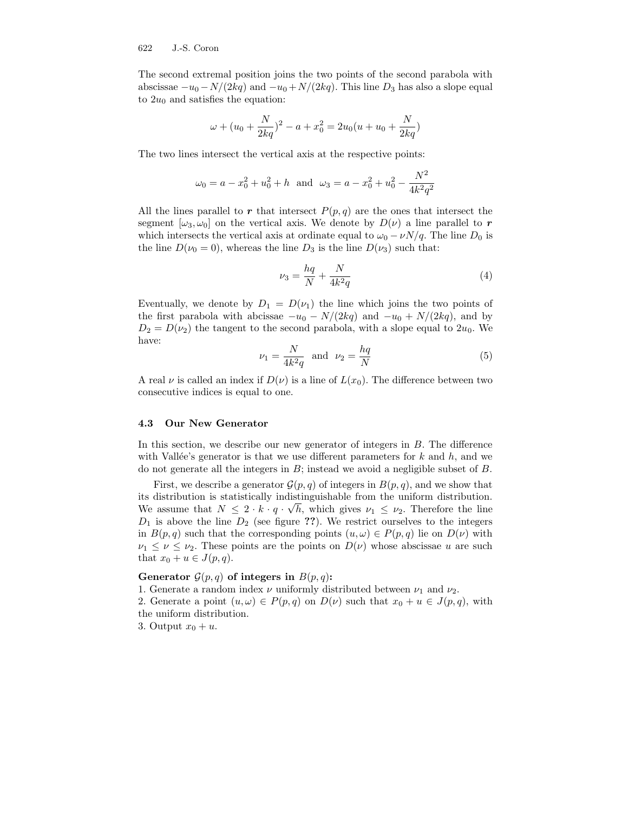The second extremal position joins the two points of the second parabola with abscissae  $-u_0 - N/(2kq)$  and  $-u_0 + N/(2kq)$ . This line  $D_3$  has also a slope equal to  $2u_0$  and satisfies the equation:

$$
\omega + (u_0 + \frac{N}{2kq})^2 - a + x_0^2 = 2u_0(u + u_0 + \frac{N}{2kq})
$$

The two lines intersect the vertical axis at the respective points:

$$
\omega_0 = a - x_0^2 + u_0^2 + h
$$
 and  $\omega_3 = a - x_0^2 + u_0^2 - \frac{N^2}{4k^2 q^2}$ 

All the lines parallel to r that intersect  $P(p,q)$  are the ones that intersect the segment  $[\omega_3, \omega_0]$  on the vertical axis. We denote by  $D(\nu)$  a line parallel to r which intersects the vertical axis at ordinate equal to  $\omega_0 - \nu N/q$ . The line D<sub>0</sub> is the line  $D(\nu_0 = 0)$ , whereas the line  $D_3$  is the line  $D(\nu_3)$  such that:

$$
\nu_3 = \frac{hq}{N} + \frac{N}{4k^2q} \tag{4}
$$

Eventually, we denote by  $D_1 = D(\nu_1)$  the line which joins the two points of the first parabola with abcissae  $-u_0 - N/(2kq)$  and  $-u_0 + N/(2kq)$ , and by  $D_2 = D(\nu_2)$  the tangent to the second parabola, with a slope equal to  $2u_0$ . We have:

$$
\nu_1 = \frac{N}{4k^2q} \quad \text{and} \quad \nu_2 = \frac{hq}{N} \tag{5}
$$

A real  $\nu$  is called an index if  $D(\nu)$  is a line of  $L(x_0)$ . The difference between two consecutive indices is equal to one.

### 4.3 Our New Generator

In this section, we describe our new generator of integers in  $B$ . The difference with Vallée's generator is that we use different parameters for  $k$  and  $h$ , and we do not generate all the integers in  $B$ ; instead we avoid a negligible subset of  $B$ .

First, we describe a generator  $\mathcal{G}(p,q)$  of integers in  $B(p,q)$ , and we show that its distribution is statistically indistinguishable from the uniform distribution. We assume that  $N \leq 2 \cdot k \cdot q \cdot \sqrt{h}$ , which gives  $\nu_1 \leq \nu_2$ . Therefore the line  $D_1$  is above the line  $D_2$  (see figure ??). We restrict ourselves to the integers in  $B(p,q)$  such that the corresponding points  $(u,\omega) \in P(p,q)$  lie on  $D(\nu)$  with  $\nu_1 \leq \nu \leq \nu_2$ . These points are the points on  $D(\nu)$  whose abscissae u are such that  $x_0 + u \in J(p,q)$ .

### Generator  $\mathcal{G}(p,q)$  of integers in  $B(p,q)$ :

1. Generate a random index  $\nu$  uniformly distributed between  $\nu_1$  and  $\nu_2$ .

2. Generate a point  $(u, \omega) \in P(p, q)$  on  $D(\nu)$  such that  $x_0 + u \in J(p, q)$ , with the uniform distribution.

3. Output  $x_0 + u$ .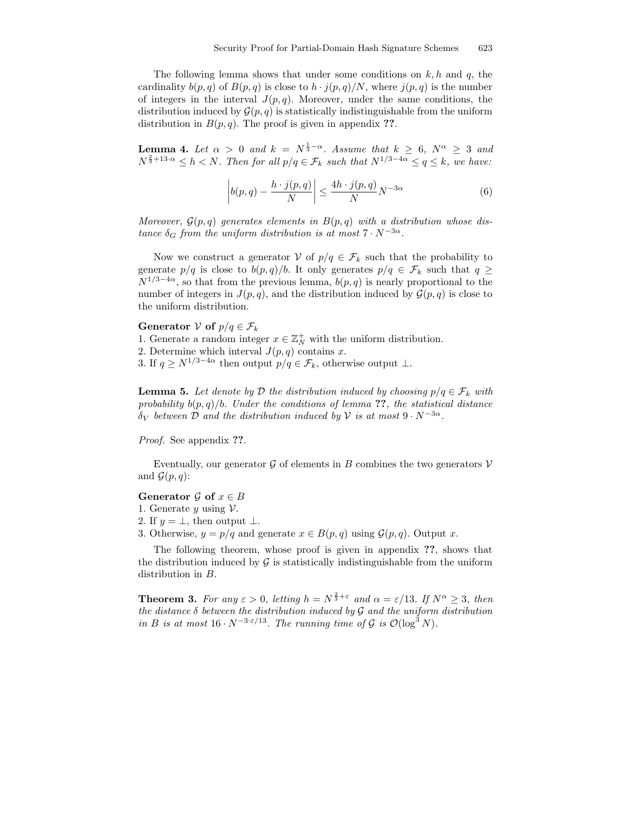The following lemma shows that under some conditions on  $k, h$  and  $q$ , the cardinality  $b(p,q)$  of  $B(p,q)$  is close to  $h \cdot j(p,q)/N$ , where  $j(p,q)$  is the number of integers in the interval  $J(p, q)$ . Moreover, under the same conditions, the distribution induced by  $\mathcal{G}(p,q)$  is statistically indistinguishable from the uniform distribution in  $B(p,q)$ . The proof is given in appendix ??.

**Lemma 4.** Let  $\alpha > 0$  and  $k = N^{\frac{1}{3}-\alpha}$ . Assume that  $k \geq 6$ ,  $N^{\alpha} \geq 3$  and  $N^{\frac{2}{3}+13\cdot\alpha} \leq h < N$ . Then for all  $p/q \in \mathcal{F}_k$  such that  $N^{1/3-4\alpha} \leq q \leq k$ , we have:

$$
\left| b(p,q) - \frac{h \cdot j(p,q)}{N} \right| \le \frac{4h \cdot j(p,q)}{N} N^{-3\alpha} \tag{6}
$$

Moreover,  $\mathcal{G}(p,q)$  generates elements in  $B(p,q)$  with a distribution whose distance  $\delta_G$  from the uniform distribution is at most  $7 \cdot N^{-3\alpha}$ .

Now we construct a generator V of  $p/q \in \mathcal{F}_k$  such that the probability to generate  $p/q$  is close to  $b(p,q)/b$ . It only generates  $p/q \in \mathcal{F}_k$  such that  $q \geq$  $N^{1/3-4\alpha}$ , so that from the previous lemma,  $b(p, q)$  is nearly proportional to the number of integers in  $J(p,q)$ , and the distribution induced by  $\mathcal{G}(p,q)$  is close to the uniform distribution.

### Generator  $V$  of  $p/q \in \mathcal{F}_k$

1. Generate a random integer  $x \in \mathbb{Z}_N^+$  with the uniform distribution.

2. Determine which interval  $J(p,q)$  contains x.

3. If  $q \ge N^{1/3-4\alpha}$  then output  $p/q \in \mathcal{F}_k$ , otherwise output  $\perp$ .

**Lemma 5.** Let denote by D the distribution induced by choosing  $p/q \in \mathcal{F}_k$  with probability  $b(p,q)/b$ . Under the conditions of lemma ??, the statistical distance  $\delta_V$  between  $\mathcal D$  and the distribution induced by  $\mathcal V$  is at most  $9 \cdot N^{-3\alpha}$ .

Proof. See appendix ??.

Eventually, our generator G of elements in B combines the two generators  $\mathcal V$ and  $\mathcal{G}(p,q)$ :

### Generator  $\mathcal G$  of  $x \in B$

- 1. Generate y using  $\mathcal V$ .
- 2. If  $y = \perp$ , then output  $\perp$ .
- 3. Otherwise,  $y = p/q$  and generate  $x \in B(p,q)$  using  $\mathcal{G}(p,q)$ . Output x.

The following theorem, whose proof is given in appendix ??, shows that the distribution induced by  $\mathcal G$  is statistically indistinguishable from the uniform distribution in B.

**Theorem 3.** For any  $\varepsilon > 0$ , letting  $h = N^{\frac{2}{3} + \varepsilon}$  and  $\alpha = \varepsilon/13$ . If  $N^{\alpha} \geq 3$ , then the distance  $\delta$  between the distribution induced by  $\mathcal G$  and the uniform distribution in B is at most  $16 \cdot N^{-3 \cdot \varepsilon / 13}$ . The running time of G is  $\mathcal{O}(\log^3 N)$ .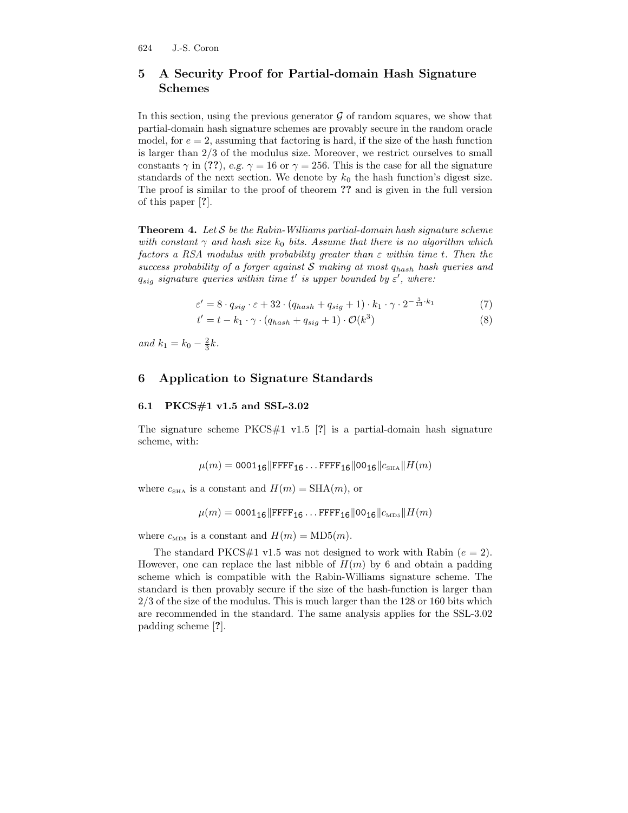# 5 A Security Proof for Partial-domain Hash Signature Schemes

In this section, using the previous generator  $\mathcal G$  of random squares, we show that partial-domain hash signature schemes are provably secure in the random oracle model, for  $e = 2$ , assuming that factoring is hard, if the size of the hash function is larger than 2/3 of the modulus size. Moreover, we restrict ourselves to small constants  $\gamma$  in (??), e.g.  $\gamma = 16$  or  $\gamma = 256$ . This is the case for all the signature standards of the next section. We denote by  $k_0$  the hash function's digest size. The proof is similar to the proof of theorem ?? and is given in the full version of this paper [?].

**Theorem 4.** Let  $S$  be the Rabin-Williams partial-domain hash signature scheme with constant  $\gamma$  and hash size  $k_0$  bits. Assume that there is no algorithm which factors a RSA modulus with probability greater than  $\varepsilon$  within time t. Then the success probability of a forger against  $S$  making at most  $q_{hash}$  hash queries and  $q_{sig}$  signature queries within time t' is upper bounded by  $\varepsilon'$ , where:

$$
\varepsilon' = 8 \cdot q_{sig} \cdot \varepsilon + 32 \cdot (q_{hash} + q_{sig} + 1) \cdot k_1 \cdot \gamma \cdot 2^{-\frac{3}{13} \cdot k_1} \tag{7}
$$

$$
t' = t - k_1 \cdot \gamma \cdot (q_{hash} + q_{sig} + 1) \cdot \mathcal{O}(k^3)
$$
\n
$$
(8)
$$

and  $k_1 = k_0 - \frac{2}{3}k$ .

# 6 Application to Signature Standards

#### 6.1 PKCS#1 v1.5 and SSL-3.02

The signature scheme  $PKCS#1$  v1.5 [?] is a partial-domain hash signature scheme, with:

$$
\mu(m) = 0001_{16} \|\text{FFF}_{16} \dots \text{FFF}_{16} \|00_{16}\|c_{\text{SHA}}\|H(m)
$$

where  $c_{\text{SHA}}$  is a constant and  $H(m) = \text{SHA}(m)$ , or

$$
\mu(m) = 0001_{16} \|\text{FFF}_{16} \dots \text{FFF}_{16} \| 00_{16} \| c_{\text{MD5}} \| H(m)
$$

where  $c_{\text{MD5}}$  is a constant and  $H(m) = \text{MD5}(m)$ .

The standard PKCS#1 v1.5 was not designed to work with Rabin  $(e = 2)$ . However, one can replace the last nibble of  $H(m)$  by 6 and obtain a padding scheme which is compatible with the Rabin-Williams signature scheme. The standard is then provably secure if the size of the hash-function is larger than 2/3 of the size of the modulus. This is much larger than the 128 or 160 bits which are recommended in the standard. The same analysis applies for the SSL-3.02 padding scheme [?].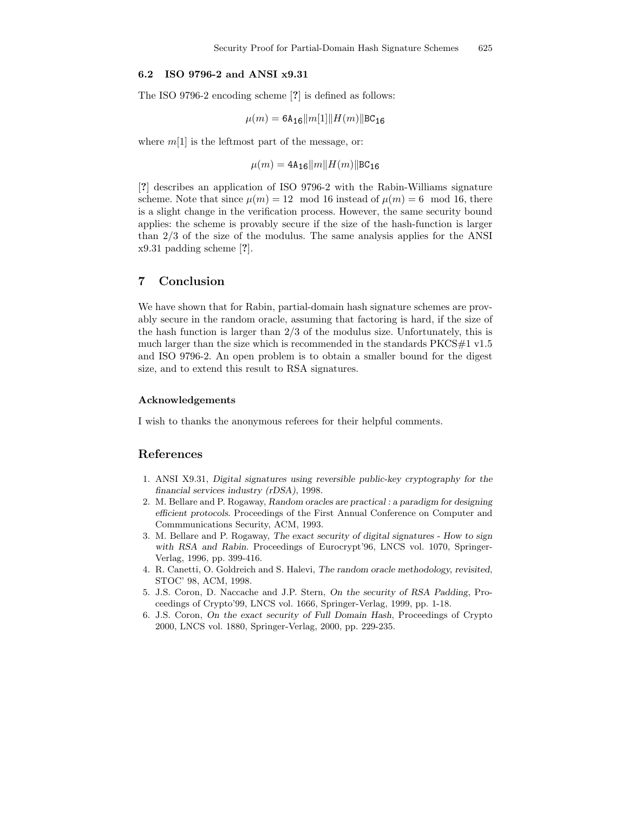#### 6.2 ISO 9796-2 and ANSI x9.31

The ISO 9796-2 encoding scheme [?] is defined as follows:

$$
\mu(m) = 6\text{A}_{16}||m[1]||H(m)||\text{BC}_{16}
$$

where  $m[1]$  is the leftmost part of the message, or:

 $\mu(m) = 4A_{16}||m||H(m)||BC_{16}$ 

[?] describes an application of ISO 9796-2 with the Rabin-Williams signature scheme. Note that since  $\mu(m) = 12 \mod 16$  instead of  $\mu(m) = 6 \mod 16$ , there is a slight change in the verification process. However, the same security bound applies: the scheme is provably secure if the size of the hash-function is larger than 2/3 of the size of the modulus. The same analysis applies for the ANSI x9.31 padding scheme [?].

### 7 Conclusion

We have shown that for Rabin, partial-domain hash signature schemes are provably secure in the random oracle, assuming that factoring is hard, if the size of the hash function is larger than 2/3 of the modulus size. Unfortunately, this is much larger than the size which is recommended in the standards PKCS#1 v1.5 and ISO 9796-2. An open problem is to obtain a smaller bound for the digest size, and to extend this result to RSA signatures.

### Acknowledgements

I wish to thanks the anonymous referees for their helpful comments.

#### References

- 1. ANSI X9.31, Digital signatures using reversible public-key cryptography for the financial services industry (rDSA), 1998.
- 2. M. Bellare and P. Rogaway, Random oracles are practical : a paradigm for designing efficient protocols. Proceedings of the First Annual Conference on Computer and Commmunications Security, ACM, 1993.
- 3. M. Bellare and P. Rogaway, The exact security of digital signatures How to sign with RSA and Rabin. Proceedings of Eurocrypt'96, LNCS vol. 1070, Springer-Verlag, 1996, pp. 399-416.
- 4. R. Canetti, O. Goldreich and S. Halevi, The random oracle methodology, revisited, STOC' 98, ACM, 1998.
- 5. J.S. Coron, D. Naccache and J.P. Stern, On the security of RSA Padding, Proceedings of Crypto'99, LNCS vol. 1666, Springer-Verlag, 1999, pp. 1-18.
- 6. J.S. Coron, On the exact security of Full Domain Hash, Proceedings of Crypto 2000, LNCS vol. 1880, Springer-Verlag, 2000, pp. 229-235.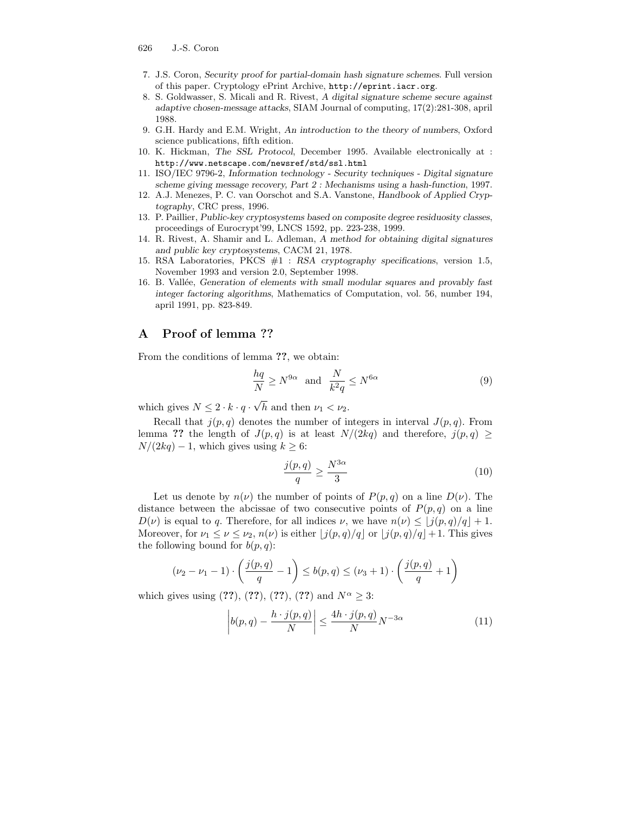- 626 J.-S. Coron
- 7. J.S. Coron, Security proof for partial-domain hash signature schemes. Full version of this paper. Cryptology ePrint Archive, http://eprint.iacr.org.
- 8. S. Goldwasser, S. Micali and R. Rivest, A digital signature scheme secure against adaptive chosen-message attacks, SIAM Journal of computing, 17(2):281-308, april 1988.
- 9. G.H. Hardy and E.M. Wright, An introduction to the theory of numbers, Oxford science publications, fifth edition.
- 10. K. Hickman, The SSL Protocol, December 1995. Available electronically at : http://www.netscape.com/newsref/std/ssl.html
- 11. ISO/IEC 9796-2, Information technology Security techniques Digital signature scheme giving message recovery, Part 2 : Mechanisms using a hash-function, 1997.
- 12. A.J. Menezes, P. C. van Oorschot and S.A. Vanstone, Handbook of Applied Cryptography, CRC press, 1996.
- 13. P. Paillier, Public-key cryptosystems based on composite degree residuosity classes, proceedings of Eurocrypt'99, LNCS 1592, pp. 223-238, 1999.
- 14. R. Rivest, A. Shamir and L. Adleman, A method for obtaining digital signatures and public key cryptosystems, CACM 21, 1978.
- 15. RSA Laboratories, PKCS #1 : RSA cryptography specifications, version 1.5, November 1993 and version 2.0, September 1998.
- 16. B. Vallée, Generation of elements with small modular squares and provably fast integer factoring algorithms, Mathematics of Computation, vol. 56, number 194, april 1991, pp. 823-849.

# A Proof of lemma ??

From the conditions of lemma ??, we obtain:

$$
\frac{hq}{N} \ge N^{9\alpha} \quad \text{and} \quad \frac{N}{k^2 q} \le N^{6\alpha} \tag{9}
$$

which gives  $N \leq 2 \cdot k \cdot q \cdot \sqrt{h}$  and then  $\nu_1 < \nu_2$ .

Recall that  $j(p, q)$  denotes the number of integers in interval  $J(p, q)$ . From lemma ?? the length of  $J(p,q)$  is at least  $N/(2kq)$  and therefore,  $j(p,q) \geq$  $N/(2kq) - 1$ , which gives using  $k \geq 6$ :

$$
\frac{j(p,q)}{q} \ge \frac{N^{3\alpha}}{3} \tag{10}
$$

Let us denote by  $n(\nu)$  the number of points of  $P(p,q)$  on a line  $D(\nu)$ . The distance between the abcissae of two consecutive points of  $P(p,q)$  on a line  $D(\nu)$  is equal to q. Therefore, for all indices  $\nu$ , we have  $n(\nu) \leq \lfloor j(p, q)/q \rfloor + 1$ . Moreover, for  $\nu_1 \leq \nu \leq \nu_2$ ,  $n(\nu)$  is either  $\lfloor j(p, q)/q \rfloor$  or  $\lfloor j(p, q)/q \rfloor +1$ . This gives the following bound for  $b(p, q)$ :

$$
(\nu_2 - \nu_1 - 1) \cdot \left(\frac{j(p, q)}{q} - 1\right) \le b(p, q) \le (\nu_3 + 1) \cdot \left(\frac{j(p, q)}{q} + 1\right)
$$

which gives using  $(??)$ ,  $(??)$ ,  $(??)$ ,  $(??)$  and  $N^{\alpha} \geq 3$ :

$$
\left| b(p,q) - \frac{h \cdot j(p,q)}{N} \right| \le \frac{4h \cdot j(p,q)}{N} N^{-3\alpha} \tag{11}
$$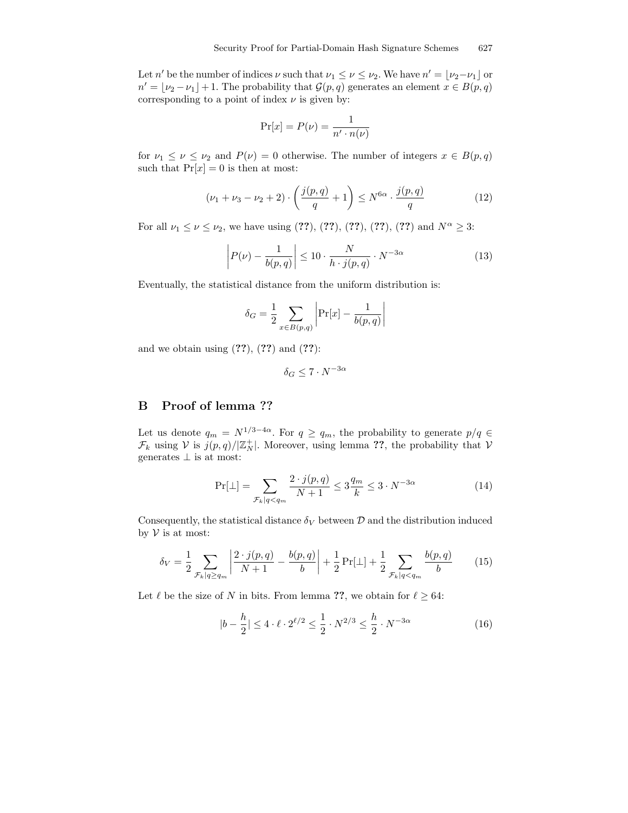Let n' be the number of indices  $\nu$  such that  $\nu_1 \leq \nu \leq \nu_2$ . We have  $n' = \lfloor \nu_2 - \nu_1 \rfloor$  or  $n' = \lfloor \nu_2 - \nu_1 \rfloor + 1$ . The probability that  $\mathcal{G}(p, q)$  generates an element  $x \in B(p, q)$ corresponding to a point of index  $\nu$  is given by:

$$
\Pr[x] = P(\nu) = \frac{1}{n' \cdot n(\nu)}
$$

for  $\nu_1 \leq \nu \leq \nu_2$  and  $P(\nu) = 0$  otherwise. The number of integers  $x \in B(p,q)$ such that  $Pr[x] = 0$  is then at most:

$$
(\nu_1 + \nu_3 - \nu_2 + 2) \cdot \left(\frac{j(p, q)}{q} + 1\right) \le N^{6\alpha} \cdot \frac{j(p, q)}{q} \tag{12}
$$

For all  $\nu_1 \leq \nu \leq \nu_2$ , we have using (??), (??), (??), (??), (??) and  $N^{\alpha} \geq 3$ :

$$
\left| P(\nu) - \frac{1}{b(p,q)} \right| \le 10 \cdot \frac{N}{h \cdot j(p,q)} \cdot N^{-3\alpha} \tag{13}
$$

Eventually, the statistical distance from the uniform distribution is:

$$
\delta_G = \frac{1}{2} \sum_{x \in B(p,q)} \left| \Pr[x] - \frac{1}{b(p,q)} \right|
$$

and we obtain using  $(??)$ ,  $(??)$  and  $(??)$ :

$$
\delta_G \le 7 \cdot N^{-3\alpha}
$$

### B Proof of lemma ??

Let us denote  $q_m = N^{1/3-4\alpha}$ . For  $q \ge q_m$ , the probability to generate  $p/q \in$  $\mathcal{F}_k$  using  $V$  is  $j(p,q)/\mathbb{Z}_N^+$ . Moreover, using lemma ??, the probability that  $V$ generates  $\perp$  is at most:

$$
\Pr[\bot] = \sum_{\mathcal{F}_k | q < q_m} \frac{2 \cdot j(p, q)}{N + 1} \le 3 \frac{q_m}{k} \le 3 \cdot N^{-3\alpha} \tag{14}
$$

Consequently, the statistical distance  $\delta_V$  between  $\mathcal D$  and the distribution induced by  $V$  is at most:

$$
\delta_V = \frac{1}{2} \sum_{\mathcal{F}_k | q \ge q_m} \left| \frac{2 \cdot j(p, q)}{N + 1} - \frac{b(p, q)}{b} \right| + \frac{1}{2} \Pr[\bot] + \frac{1}{2} \sum_{\mathcal{F}_k | q < q_m} \frac{b(p, q)}{b} \tag{15}
$$

Let  $\ell$  be the size of N in bits. From lemma ??, we obtain for  $\ell \geq 64$ :

$$
|b - \frac{h}{2}| \le 4 \cdot \ell \cdot 2^{\ell/2} \le \frac{1}{2} \cdot N^{2/3} \le \frac{h}{2} \cdot N^{-3\alpha} \tag{16}
$$